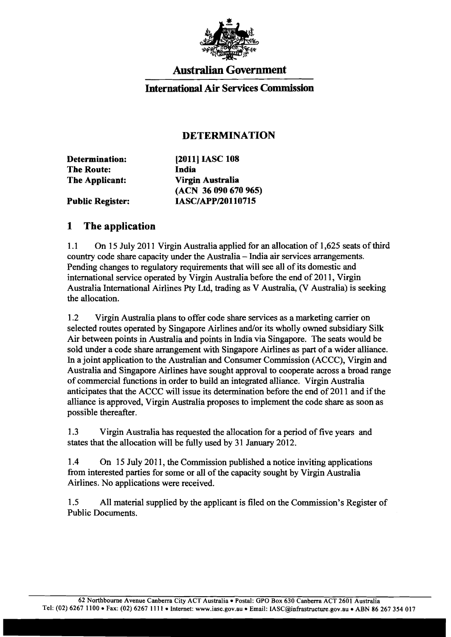

## Australian Government

### International Air Services Commission

### DETERMINATION

| Determination:          | [2011] IASC 108      |
|-------------------------|----------------------|
| <b>The Route:</b>       | India                |
| The Applicant:          | Virgin Australia     |
|                         | (ACN 36 090 670 965) |
| <b>Public Register:</b> | IASC/APP/20110715    |

#### 1 The application

1.1 On 15 July 2011 Virgin Australia applied for an allocation of 1,625 seats of third country code share capacity under the Australia - India air services arrangements. Pending changes to regulatory requirements that will see all of its domestic and international service operated by Virgin Australia before the end of 2011, Virgin Australia International Airlines Pty Ltd, trading as V Australia, (V Australia) is seeking the allocation.

1.2 Virgin Australia plans to offer code share services as a marketing carrier on selected routes operated by Singapore Airlines and/or its wholly owned subsidiary Silk Air between points in Australia and points in India via Singapore. The seats would be sold under a code share arrangement with Singapore Airlines as part of a wider alliance. In a joint application to the Australian and Consumer Commission (ACCC), Virgin and Australia and Singapore Airlines have sought approval to cooperate across a broad range of commercial functions in order to build an integrated alliance. Virgin Australia anticipates that the ACCC will issue its determination before the end of 2011 and if the alliance is approved, Virgin Australia proposes to implement the code share as soon as possible thereafter.

1.3 Virgin Australia has requested the allocation for a period of five years and states that the allocation will be fully used by 31 January 2012.

1.4 On 15 July 2011, the Commission published a notice inviting applications from interested parties for some or all of the capacity sought by Virgin Australia Airlines. No applications were received.

1.5 All material supplied by the applicant is filed on the Commission's Register of Public Documents.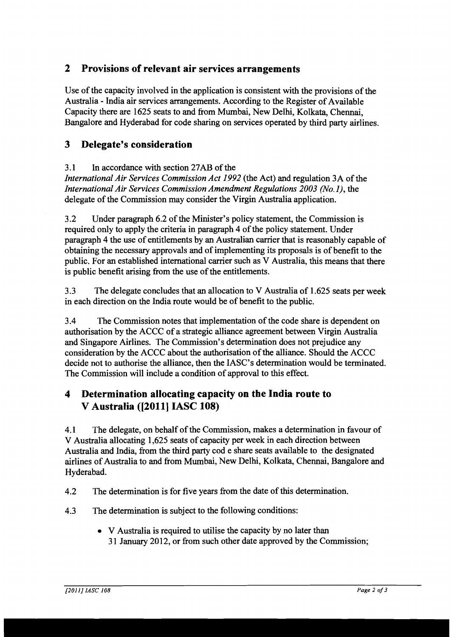## **2 Provisions of relevant air services arrangements**

Use of the capacity involved in the application is consistent with the provisions of the Australia - India air services arrangements. According to the Register of Available Capacity there are 1625 seats to and from Mumbai, New Delhi, Kolkata, Chennai, Bangalore and Hyderabad for code sharing on services operated by third party airlines.

## **3 Delegate's consideration**

#### 3.1 In accordance with section 27AB of the

*International Air Services Commission Act 1992* (the Act) and regulation 3A of the *International Air Services Commission Amendment Regulations 2003 (No.1),* the delegate of the Commission may consider the Virgin Australia application.

3.2 Under paragraph 6.2 of the Minister's policy statement, the Commission is required only to apply the criteria in paragraph 4 of the policy statement. Under paragraph 4 the use of entitlements by an Australian carrier that is reasonably capable of obtaining the necessary approvals and of implementing its proposals is of benefit to the public. For an established international carrier such as V Australia, this means that there is public benefit arising from the use of the entitlements.

3.3 The delegate concludes that an allocation to V Australia of 1.625 seats per week in each direction on the India route would be of benefit to the public.

3.4 The Commission notes that implementation of the code share is dependent on authorisation by the ACCC of a strategic alliance agreement between Virgin Australia and Singapore Airlines. The Commission's determination does not prejudice any consideration by the ACCC about the authorisation of the alliance. Should the ACCC decide not to authorise the alliance, then the IASC's determination would be terminated. The Commission will include a condition of approval to this effect.

# **4 Determination allocating capacity on the India route to V** Australia ([2011] IASC 108)

4.1 The delegate, on behalf of the Commission, makes a determination in favour of V Australia allocating 1,625 seats of capacity per week in each direction between Australia and India, from the third party cod e share seats available to the designated airlines of Australia to and from Mumbai, New Delhi, Kolkata, Chennai, Bangalore and Hyderabad.

4.2 The determination is for five years from the date of this determination.

- 4.3 The determination is subject to the following conditions:
	- V Australia is required to utilise the capacity by no later than 31 January 2012, or from such other date approved by the Commission;